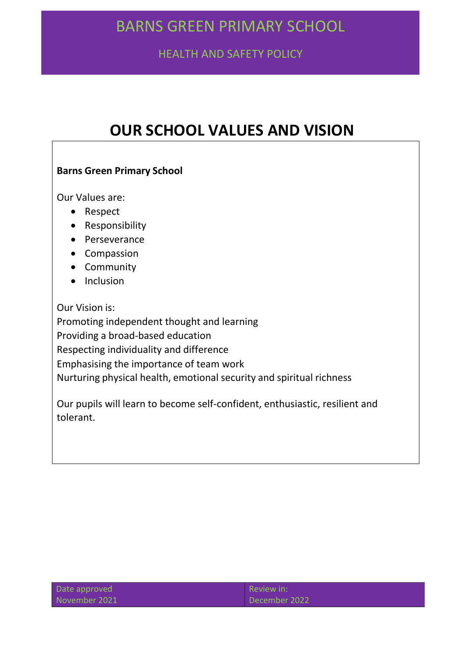HEALTH AND SAFETY POLICY

# **OUR SCHOOL VALUES AND VISION**

# **Barns Green Primary School**

Our Values are:

- Respect
- Responsibility
- Perseverance
- Compassion
- Community
- Inclusion

Our Vision is:

Promoting independent thought and learning Providing a broad-based education Respecting individuality and difference Emphasising the importance of team work Nurturing physical health, emotional security and spiritual richness

Our pupils will learn to become self-confident, enthusiastic, resilient and tolerant.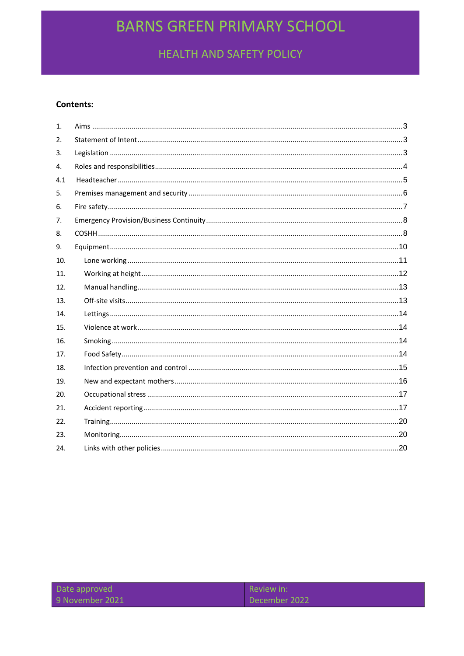HEALTH AND SAFETY POLICY

#### **Contents:**

| 1.  |  |
|-----|--|
| 2.  |  |
| 3.  |  |
| 4.  |  |
| 4.1 |  |
| 5.  |  |
| 6.  |  |
| 7.  |  |
| 8.  |  |
| 9.  |  |
| 10. |  |
| 11. |  |
| 12. |  |
| 13. |  |
| 14. |  |
| 15. |  |
| 16. |  |
| 17. |  |
| 18. |  |
| 19. |  |
| 20. |  |
| 21. |  |
| 22. |  |
| 23. |  |
| 24. |  |
|     |  |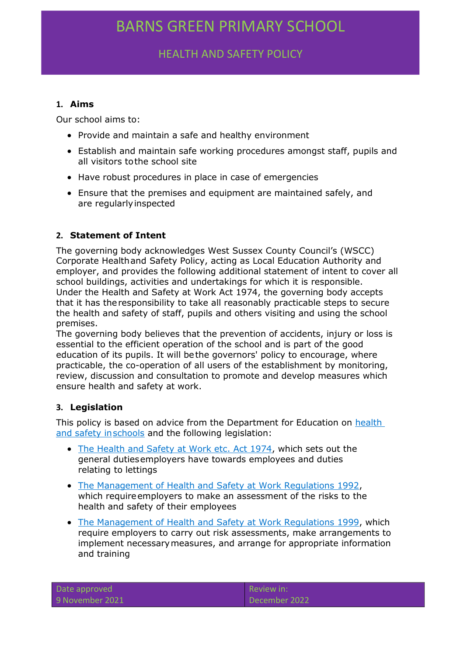HEALTH AND SAFETY POLICY

### <span id="page-2-0"></span>**1. Aims**

Our school aims to:

- Provide and maintain a safe and healthy environment
- Establish and maintain safe working procedures amongst staff, pupils and all visitors tothe school site
- Have robust procedures in place in case of emergencies
- Ensure that the premises and equipment are maintained safely, and are regularlyinspected

## <span id="page-2-1"></span>**2. Statement of Intent**

The governing body acknowledges West Sussex County Council's (WSCC) Corporate Healthand Safety Policy, acting as Local Education Authority and employer, and provides the following additional statement of intent to cover all school buildings, activities and undertakings for which it is responsible. Under the Health and Safety at Work Act 1974, the governing body accepts that it has theresponsibility to take all reasonably practicable steps to secure the health and safety of staff, pupils and others visiting and using the school premises.

The governing body believes that the prevention of accidents, injury or loss is essential to the efficient operation of the school and is part of the good education of its pupils. It will bethe governors' policy to encourage, where practicable, the co-operation of all users of the establishment by monitoring, review, discussion and consultation to promote and develop measures which ensure health and safety at work.

## <span id="page-2-2"></span>**3. Legislation**

This policy is based on advice from the Department for Education on [health](https://www.gov.uk/government/publications/health-and-safety-advice-for-schools)  [and safety inschools](https://www.gov.uk/government/publications/health-and-safety-advice-for-schools) and the following legislation:

- [The Health and Safety at Work etc. Act 1974, w](http://www.legislation.gov.uk/ukpga/1974/37)hich sets out the general dutiesemployers have towards employees and duties relating to lettings
- The Management of Health and Safety at Work Regulations 1992, which require employers to make an assessment of the risks to the health and safety of their employees
- The Management of [Health and Safety at Work Regulations 1999, w](http://www.legislation.gov.uk/uksi/1999/3242/contents/made)hich require employers to carry out risk assessments, make arrangements to implement necessarymeasures, and arrange for appropriate information and training

| Date approved   |  |
|-----------------|--|
| 9 November 2021 |  |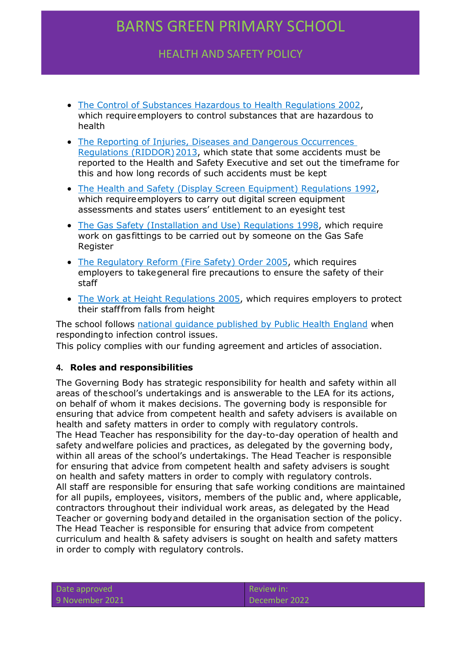HEALTH AND SAFETY POLICY

- The Control of Substances Hazardous to Health Regulations 2002, which require employers to control substances that are hazardous to health
- [The Reporting of Injuries, Diseases and Dangerous Occurrences](http://www.legislation.gov.uk/uksi/2013/1471/schedule/1/paragraph/1/made)  [Regulations \(RIDDOR\)2013, w](http://www.legislation.gov.uk/uksi/2013/1471/schedule/1/paragraph/1/made)hich state that some accidents must be reported to the Health and Safety Executive and set out the timeframe for this and how long records of such accidents must be kept
- [The Health and Safety \(Display Screen Equipment\) Regulations 1992,](http://www.legislation.gov.uk/uksi/1992/2792/contents/made)  which require employers to carry out digital screen equipment assessments and states users' entitlement to an eyesight test
- [The Gas Safety \(Installation and Use\) Regulations 1998,](http://www.legislation.gov.uk/uksi/1998/2451/regulation/4/made) which require work on gasfittings to be carried out by someone on the Gas Safe Register
- [The Regulatory Reform \(Fire Safety\) Order 2005,](http://www.legislation.gov.uk/uksi/2005/1541/part/2/made) which requires employers to takegeneral fire precautions to ensure the safety of their staff
- [The Work at Height Regulations 2005, w](http://www.legislation.gov.uk/uksi/2005/735/contents/made)hich requires employers to protect their stafffrom falls from height

The school follows [national guidance published by Public Health England](https://www.gov.uk/government/publications/health-protection-in-schools-and-other-childcare-facilities/chapter-9-managing-specific-infectious-diseases) when respondingto infection control issues.

This policy complies with our funding agreement and articles of association.

### <span id="page-3-0"></span>**4. Roles and responsibilities**

The Governing Body has strategic responsibility for health and safety within all areas of theschool's undertakings and is answerable to the LEA for its actions, on behalf of whom it makes decisions. The governing body is responsible for ensuring that advice from competent health and safety advisers is available on health and safety matters in order to comply with regulatory controls. The Head Teacher has responsibility for the day-to-day operation of health and safety andwelfare policies and practices, as delegated by the governing body, within all areas of the school's undertakings. The Head Teacher is responsible for ensuring that advice from competent health and safety advisers is sought on health and safety matters in order to comply with regulatory controls. All staff are responsible for ensuring that safe working conditions are maintained for all pupils, employees, visitors, members of the public and, where applicable, contractors throughout their individual work areas, as delegated by the Head Teacher or governing bodyand detailed in the organisation section of the policy. The Head Teacher is responsible for ensuring that advice from competent curriculum and health & safety advisers is sought on health and safety matters in order to comply with regulatory controls.

|  | Date approved   |  |
|--|-----------------|--|
|  | 9 November 2021 |  |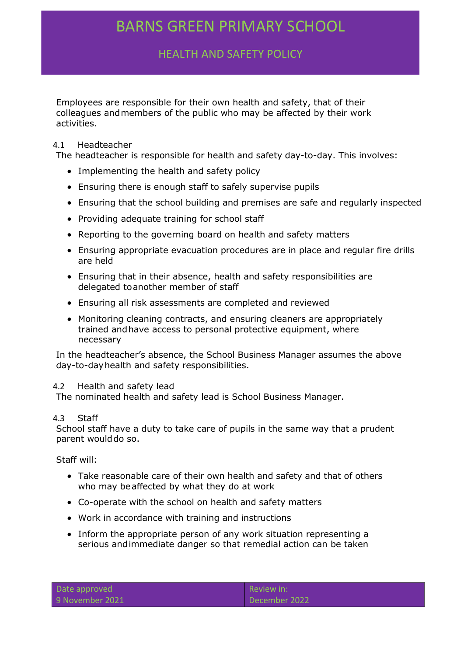HEALTH AND SAFETY POLICY

Employees are responsible for their own health and safety, that of their colleagues andmembers of the public who may be affected by their work activities.

### 4.1 Headteacher

The headteacher is responsible for health and safety day-to-day. This involves:

- Implementing the health and safety policy
- Ensuring there is enough staff to safely supervise pupils
- Ensuring that the school building and premises are safe and regularly inspected
- Providing adequate training for school staff
- Reporting to the governing board on health and safety matters
- Ensuring appropriate evacuation procedures are in place and regular fire drills are held
- Ensuring that in their absence, health and safety responsibilities are delegated toanother member of staff
- Ensuring all risk assessments are completed and reviewed
- Monitoring cleaning contracts, and ensuring cleaners are appropriately trained andhave access to personal protective equipment, where necessary

In the headteacher's absence, the School Business Manager assumes the above day-to-dayhealth and safety responsibilities.

#### 4.2 Health and safety lead

The nominated health and safety lead is School Business Manager.

### 4.3 Staff

School staff have a duty to take care of pupils in the same way that a prudent parent would do so.

Staff will:

- Take reasonable care of their own health and safety and that of others who may beaffected by what they do at work
- Co-operate with the school on health and safety matters
- Work in accordance with training and instructions
- Inform the appropriate person of any work situation representing a serious andimmediate danger so that remedial action can be taken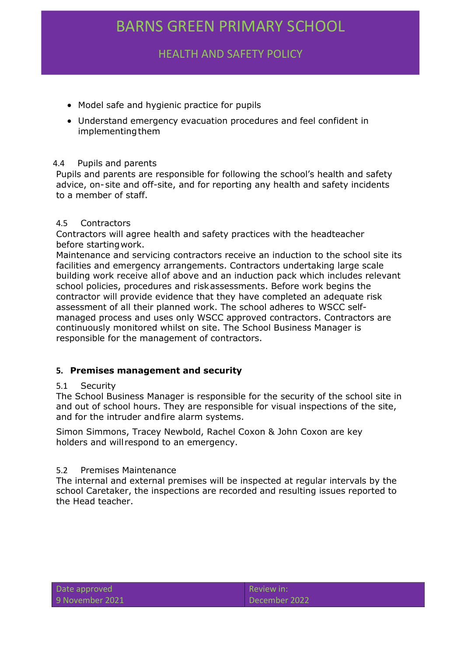HEALTH AND SAFETY POLICY

- Model safe and hygienic practice for pupils
- Understand emergency evacuation procedures and feel confident in implementing them

#### 4.4 Pupils and parents

Pupils and parents are responsible for following the school's health and safety advice, on-site and off-site, and for reporting any health and safety incidents to a member of staff.

#### 4.5 Contractors

Contractors will agree health and safety practices with the headteacher before startingwork.

Maintenance and servicing contractors receive an induction to the school site its facilities and emergency arrangements. Contractors undertaking large scale building work receive allof above and an induction pack which includes relevant school policies, procedures and riskassessments. Before work begins the contractor will provide evidence that they have completed an adequate risk assessment of all their planned work. The school adheres to WSCC selfmanaged process and uses only WSCC approved contractors. Contractors are continuously monitored whilst on site. The School Business Manager is responsible for the management of contractors.

#### <span id="page-5-0"></span>**5. Premises management and security**

#### 5.1 Security

The School Business Manager is responsible for the security of the school site in and out of school hours. They are responsible for visual inspections of the site, and for the intruder andfire alarm systems.

Simon Simmons, Tracey Newbold, Rachel Coxon & John Coxon are key holders and will respond to an emergency.

#### 5.2 Premises Maintenance

The internal and external premises will be inspected at regular intervals by the school Caretaker, the inspections are recorded and resulting issues reported to the Head teacher.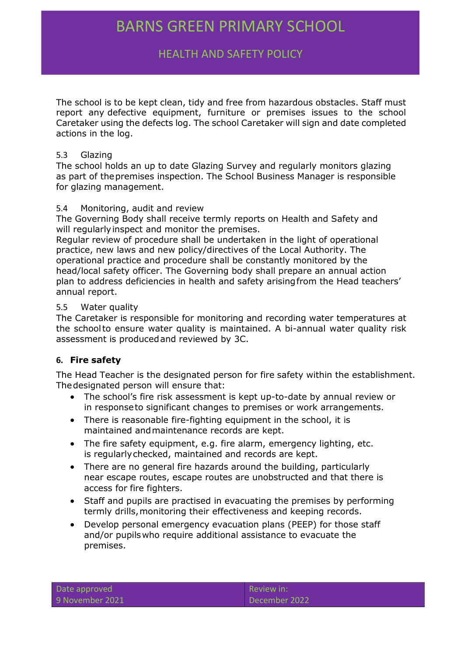# HEALTH AND SAFETY POLICY

The school is to be kept clean, tidy and free from hazardous obstacles. Staff must report any defective equipment, furniture or premises issues to the school Caretaker using the defects log. The school Caretaker will sign and date completed actions in the log.

### 5.3 Glazing

The school holds an up to date Glazing Survey and regularly monitors glazing as part of thepremises inspection. The School Business Manager is responsible for glazing management.

### 5.4 Monitoring, audit and review

The Governing Body shall receive termly reports on Health and Safety and will regularly inspect and monitor the premises.

Regular review of procedure shall be undertaken in the light of operational practice, new laws and new policy/directives of the Local Authority. The operational practice and procedure shall be constantly monitored by the head/local safety officer. The Governing body shall prepare an annual action plan to address deficiencies in health and safety arisingfrom the Head teachers' annual report.

#### 5.5 Water quality

The Caretaker is responsible for monitoring and recording water temperatures at the schoolto ensure water quality is maintained. A bi-annual water quality risk assessment is producedand reviewed by 3C.

### <span id="page-6-0"></span>**6. Fire safety**

The Head Teacher is the designated person for fire safety within the establishment. Thedesignated person will ensure that:

- The school's fire risk assessment is kept up-to-date by annual review or in responseto significant changes to premises or work arrangements.
- There is reasonable fire-fighting equipment in the school, it is maintained andmaintenance records are kept.
- The fire safety equipment, e.g. fire alarm, emergency lighting, etc. is regularlychecked, maintained and records are kept.
- There are no general fire hazards around the building, particularly near escape routes, escape routes are unobstructed and that there is access for fire fighters.
- Staff and pupils are practised in evacuating the premises by performing termly drills,monitoring their effectiveness and keeping records.
- Develop personal emergency evacuation plans (PEEP) for those staff and/or pupilswho require additional assistance to evacuate the premises.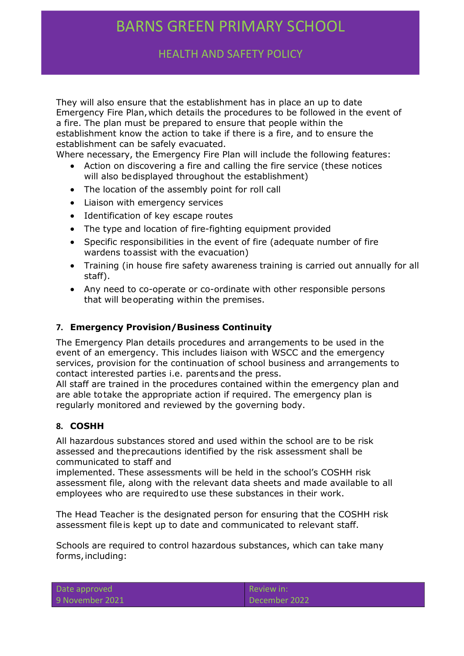HEALTH AND SAFETY POLICY

They will also ensure that the establishment has in place an up to date Emergency Fire Plan,which details the procedures to be followed in the event of a fire. The plan must be prepared to ensure that people within the establishment know the action to take if there is a fire, and to ensure the establishment can be safely evacuated.

Where necessary, the Emergency Fire Plan will include the following features:

- Action on discovering a fire and calling the fire service (these notices will also bedisplayed throughout the establishment)
- The location of the assembly point for roll call
- Liaison with emergency services
- Identification of key escape routes
- The type and location of fire-fighting equipment provided
- Specific responsibilities in the event of fire (adequate number of fire wardens toassist with the evacuation)
- Training (in house fire safety awareness training is carried out annually for all staff).
- Any need to co-operate or co-ordinate with other responsible persons that will beoperating within the premises.

### <span id="page-7-0"></span>**7. Emergency Provision/Business Continuity**

The Emergency Plan details procedures and arrangements to be used in the event of an emergency. This includes liaison with WSCC and the emergency services, provision for the continuation of school business and arrangements to contact interested parties i.e. parentsand the press.

All staff are trained in the procedures contained within the emergency plan and are able totake the appropriate action if required. The emergency plan is regularly monitored and reviewed by the governing body.

### <span id="page-7-1"></span>**8. COSHH**

All hazardous substances stored and used within the school are to be risk assessed and theprecautions identified by the risk assessment shall be communicated to staff and

implemented. These assessments will be held in the school's COSHH risk assessment file, along with the relevant data sheets and made available to all employees who are requiredto use these substances in their work.

The Head Teacher is the designated person for ensuring that the COSHH risk assessment fileis kept up to date and communicated to relevant staff.

Schools are required to control hazardous substances, which can take many forms, including:

| Date approved   |  |
|-----------------|--|
| 9 November 2021 |  |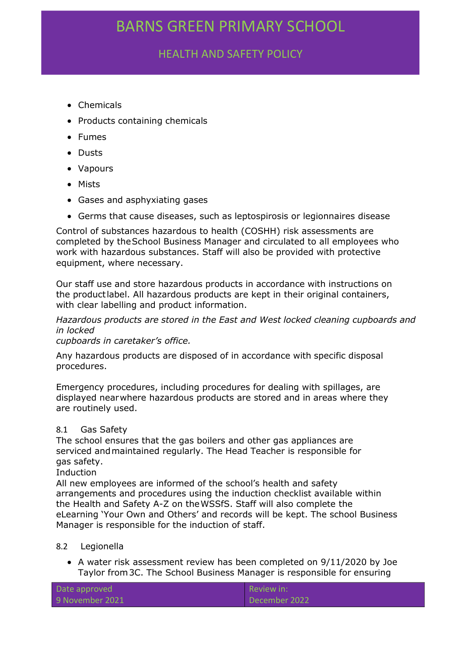# HEALTH AND SAFETY POLICY

- Chemicals
- Products containing chemicals
- Fumes
- Dusts
- Vapours
- Mists
- Gases and asphyxiating gases
- Germs that cause diseases, such as leptospirosis or legionnaires disease

Control of substances hazardous to health (COSHH) risk assessments are completed by theSchool Business Manager and circulated to all employees who work with hazardous substances. Staff will also be provided with protective equipment, where necessary.

Our staff use and store hazardous products in accordance with instructions on the productlabel. All hazardous products are kept in their original containers, with clear labelling and product information.

*Hazardous products are stored in the East and West locked cleaning cupboards and in locked*

*cupboards in caretaker's office.*

Any hazardous products are disposed of in accordance with specific disposal procedures.

Emergency procedures, including procedures for dealing with spillages, are displayed nearwhere hazardous products are stored and in areas where they are routinely used.

### 8.1 Gas Safety

The school ensures that the gas boilers and other gas appliances are serviced andmaintained regularly. The Head Teacher is responsible for gas safety.

Induction

All new employees are informed of the school's health and safety arrangements and procedures using the induction checklist available within the Health and Safety A-Z on theWSSfS. Staff will also complete the eLearning 'Your Own and Others' and records will be kept. The school Business Manager is responsible for the induction of staff.

#### 8.2 Legionella

 A water risk assessment review has been completed on 9/11/2020 by Joe Taylor from3C. The School Business Manager is responsible for ensuring

| Date approved   | $\blacksquare$ Review in: |
|-----------------|---------------------------|
| 9 November 2021 | December 2022             |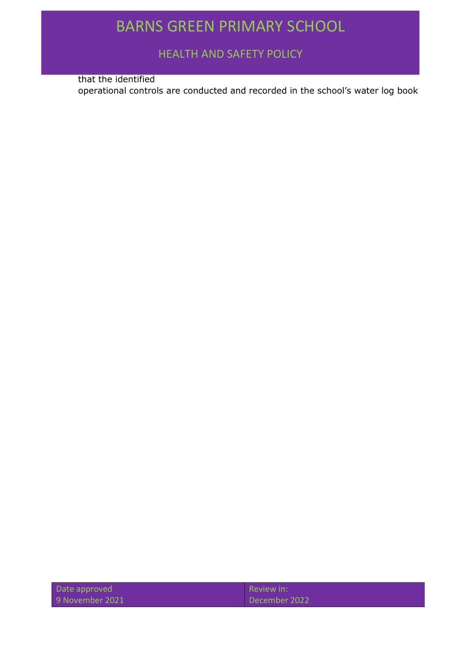HEALTH AND SAFETY POLICY

that the identified

operational controls are conducted and recorded in the school's water log book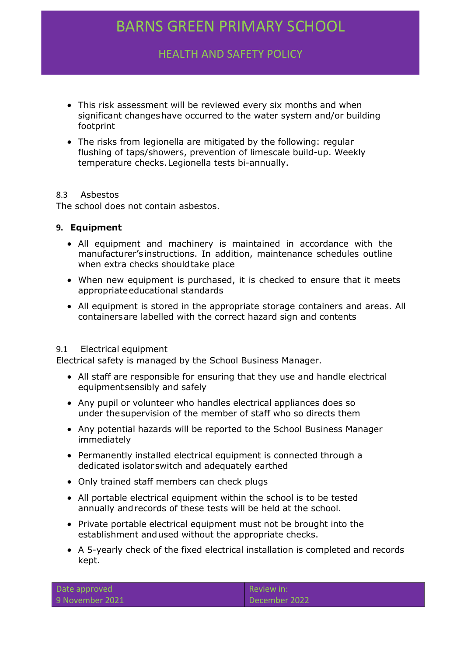HEALTH AND SAFETY POLICY

- This risk assessment will be reviewed every six months and when significant changeshave occurred to the water system and/or building footprint
- The risks from legionella are mitigated by the following: regular flushing of taps/showers, prevention of limescale build-up. Weekly temperature checks.Legionella tests bi-annually.

### 8.3 Asbestos

The school does not contain asbestos.

### <span id="page-10-0"></span>**9. Equipment**

- All equipment and machinery is maintained in accordance with the manufacturer's instructions. In addition, maintenance schedules outline when extra checks shouldtake place
- When new equipment is purchased, it is checked to ensure that it meets appropriateeducational standards
- All equipment is stored in the appropriate storage containers and areas. All containersare labelled with the correct hazard sign and contents

#### 9.1 Electrical equipment

Electrical safety is managed by the School Business Manager.

- All staff are responsible for ensuring that they use and handle electrical equipmentsensibly and safely
- Any pupil or volunteer who handles electrical appliances does so under thesupervision of the member of staff who so directs them
- Any potential hazards will be reported to the School Business Manager immediately
- Permanently installed electrical equipment is connected through a dedicated isolatorswitch and adequately earthed
- Only trained staff members can check plugs
- All portable electrical equipment within the school is to be tested annually andrecords of these tests will be held at the school.
- Private portable electrical equipment must not be brought into the establishment andused without the appropriate checks.
- A 5-yearly check of the fixed electrical installation is completed and records kept.

|  | Date approved   |  |
|--|-----------------|--|
|  | 9 November 2021 |  |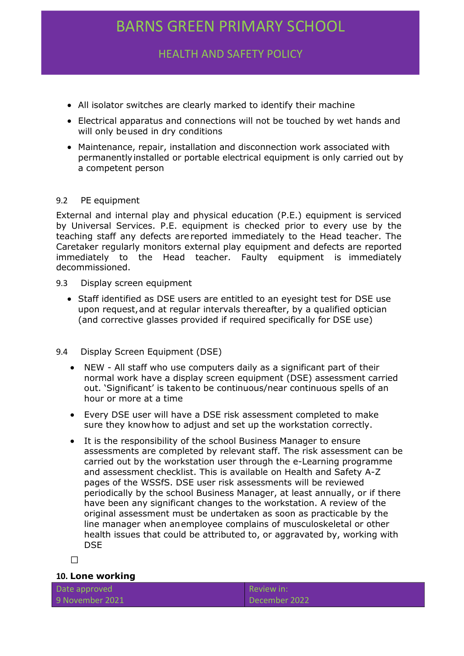HEALTH AND SAFETY POLICY

- All isolator switches are clearly marked to identify their machine
- Electrical apparatus and connections will not be touched by wet hands and will only beused in dry conditions
- Maintenance, repair, installation and disconnection work associated with permanentlyinstalled or portable electrical equipment is only carried out by a competent person

### 9.2 PE equipment

External and internal play and physical education (P.E.) equipment is serviced by Universal Services. P.E. equipment is checked prior to every use by the teaching staff any defects are reported immediately to the Head teacher. The Caretaker regularly monitors external play equipment and defects are reported immediately to the Head teacher. Faulty equipment is immediately decommissioned.

- 9.3 Display screen equipment
	- Staff identified as DSE users are entitled to an eyesight test for DSE use upon request,and at regular intervals thereafter, by a qualified optician (and corrective glasses provided if required specifically for DSE use)
- 9.4 Display Screen Equipment (DSE)
	- NEW All staff who use computers daily as a significant part of their normal work have a display screen equipment (DSE) assessment carried out. 'Significant' is takento be continuous/near continuous spells of an hour or more at a time
	- Every DSE user will have a DSE risk assessment completed to make sure they knowhow to adjust and set up the workstation correctly.
	- It is the responsibility of the school Business Manager to ensure assessments are completed by relevant staff. The risk assessment can be carried out by the workstation user through the e-Learning programme and assessment checklist. This is available on Health and Safety A-Z pages of the WSSfS. DSE user risk assessments will be reviewed periodically by the school Business Manager, at least annually, or if there have been any significant changes to the workstation. A review of the original assessment must be undertaken as soon as practicable by the line manager when anemployee complains of musculoskeletal or other health issues that could be attributed to, or aggravated by, working with DSE

 $\Box$ 

### <span id="page-11-0"></span>**10. Lone working**

Date approved 9 November 2021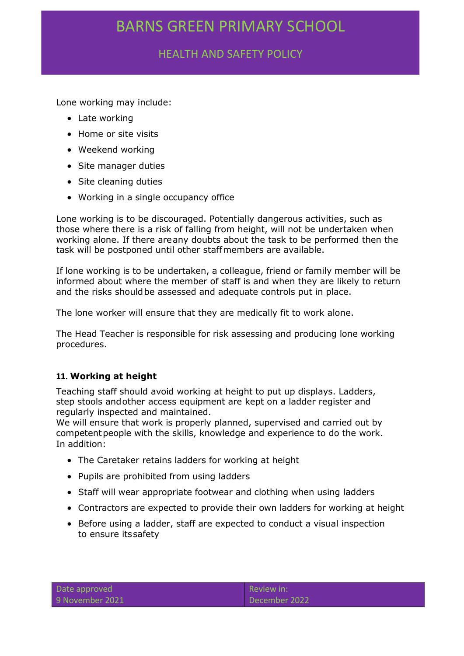HEALTH AND SAFETY POLICY

Lone working may include:

- Late working
- Home or site visits
- Weekend working
- Site manager duties
- Site cleaning duties
- Working in a single occupancy office

Lone working is to be discouraged. Potentially dangerous activities, such as those where there is a risk of falling from height, will not be undertaken when working alone. If there areany doubts about the task to be performed then the task will be postponed until other staffmembers are available.

If lone working is to be undertaken, a colleague, friend or family member will be informed about where the member of staff is and when they are likely to return and the risks shouldbe assessed and adequate controls put in place.

The lone worker will ensure that they are medically fit to work alone.

The Head Teacher is responsible for risk assessing and producing lone working procedures.

## <span id="page-12-0"></span>**11. Working at height**

Teaching staff should avoid working at height to put up displays. Ladders, step stools andother access equipment are kept on a ladder register and regularly inspected and maintained.

We will ensure that work is properly planned, supervised and carried out by competentpeople with the skills, knowledge and experience to do the work. In addition:

- The Caretaker retains ladders for working at height
- Pupils are prohibited from using ladders
- Staff will wear appropriate footwear and clothing when using ladders
- Contractors are expected to provide their own ladders for working at height
- Before using a ladder, staff are expected to conduct a visual inspection to ensure itssafety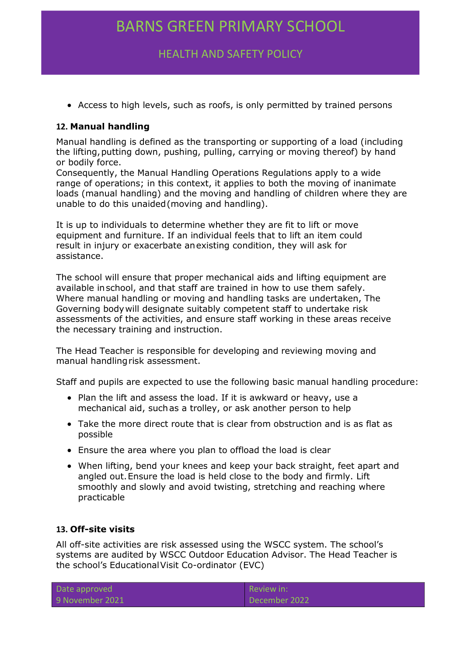# HEALTH AND SAFETY POLICY

Access to high levels, such as roofs, is only permitted by trained persons

## <span id="page-13-0"></span>**12. Manual handling**

Manual handling is defined as the transporting or supporting of a load (including the lifting,putting down, pushing, pulling, carrying or moving thereof) by hand or bodily force.

Consequently, the Manual Handling Operations Regulations apply to a wide range of operations; in this context, it applies to both the moving of inanimate loads (manual handling) and the moving and handling of children where they are unable to do this unaided(moving and handling).

It is up to individuals to determine whether they are fit to lift or move equipment and furniture. If an individual feels that to lift an item could result in injury or exacerbate anexisting condition, they will ask for assistance.

The school will ensure that proper mechanical aids and lifting equipment are available inschool, and that staff are trained in how to use them safely. Where manual handling or moving and handling tasks are undertaken, The Governing bodywill designate suitably competent staff to undertake risk assessments of the activities, and ensure staff working in these areas receive the necessary training and instruction.

The Head Teacher is responsible for developing and reviewing moving and manual handlingrisk assessment.

Staff and pupils are expected to use the following basic manual handling procedure:

- Plan the lift and assess the load. If it is awkward or heavy, use a mechanical aid, suchas a trolley, or ask another person to help
- Take the more direct route that is clear from obstruction and is as flat as possible
- Ensure the area where you plan to offload the load is clear
- When lifting, bend your knees and keep your back straight, feet apart and angled out.Ensure the load is held close to the body and firmly. Lift smoothly and slowly and avoid twisting, stretching and reaching where practicable

### <span id="page-13-1"></span>**13. Off-site visits**

All off-site activities are risk assessed using the WSCC system. The school's systems are audited by WSCC Outdoor Education Advisor. The Head Teacher is the school's EducationalVisit Co-ordinator (EVC)

| Date approved   |
|-----------------|
| 9 November 2021 |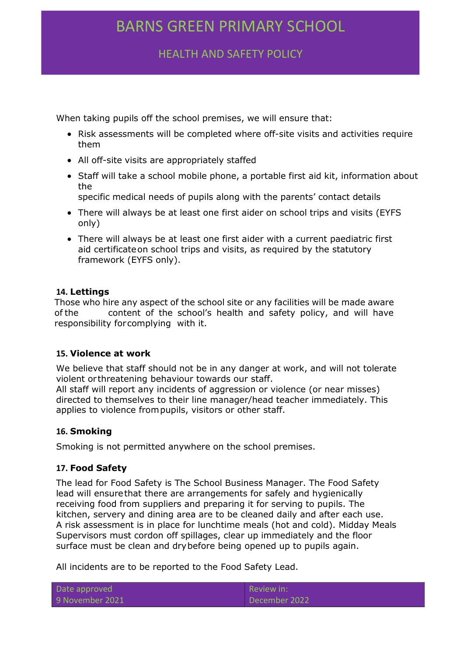HEALTH AND SAFETY POLICY

When taking pupils off the school premises, we will ensure that:

- Risk assessments will be completed where off-site visits and activities require them
- All off-site visits are appropriately staffed
- Staff will take a school mobile phone, a portable first aid kit, information about the
	- specific medical needs of pupils along with the parents' contact details
- There will always be at least one first aider on school trips and visits (EYFS only)
- There will always be at least one first aider with a current paediatric first aid certificateon school trips and visits, as required by the statutory framework (EYFS only).

## <span id="page-14-0"></span>**14. Lettings**

Those who hire any aspect of the school site or any facilities will be made aware of the content of the school's health and safety policy, and will have responsibility forcomplying with it.

### <span id="page-14-1"></span>**15. Violence at work**

We believe that staff should not be in any danger at work, and will not tolerate violent or threatening behaviour towards our staff.

All staff will report any incidents of aggression or violence (or near misses) directed to themselves to their line manager/head teacher immediately. This applies to violence frompupils, visitors or other staff.

## <span id="page-14-2"></span>**16. Smoking**

Smoking is not permitted anywhere on the school premises.

### <span id="page-14-3"></span>**17. Food Safety**

The lead for Food Safety is The School Business Manager. The Food Safety lead will ensurethat there are arrangements for safely and hygienically receiving food from suppliers and preparing it for serving to pupils. The kitchen, servery and dining area are to be cleaned daily and after each use. A risk assessment is in place for lunchtime meals (hot and cold). Midday Meals Supervisors must cordon off spillages, clear up immediately and the floor surface must be clean and drybefore being opened up to pupils again.

All incidents are to be reported to the Food Safety Lead.

| Date approved   | $\blacksquare$ Review in: |
|-----------------|---------------------------|
| 9 November 2021 | December 2022             |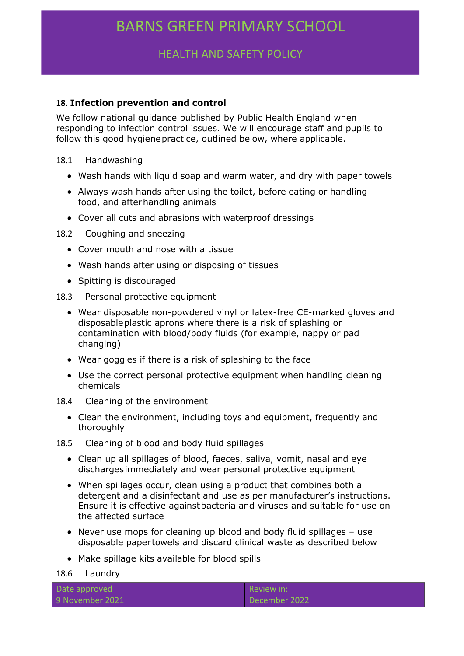HEALTH AND SAFETY POLICY

### <span id="page-15-0"></span>**18. Infection prevention and control**

We follow national guidance published by Public Health England when responding to infection control issues. We will encourage staff and pupils to follow this good hygienepractice, outlined below, where applicable.

#### 18.1 Handwashing

- Wash hands with liquid soap and warm water, and dry with paper towels
- Always wash hands after using the toilet, before eating or handling food, and afterhandling animals
- Cover all cuts and abrasions with waterproof dressings
- 18.2 Coughing and sneezing
	- Cover mouth and nose with a tissue
	- Wash hands after using or disposing of tissues
	- Spitting is discouraged
- 18.3 Personal protective equipment
	- Wear disposable non-powdered vinyl or latex-free CE-marked gloves and disposableplastic aprons where there is a risk of splashing or contamination with blood/body fluids (for example, nappy or pad changing)
	- Wear goggles if there is a risk of splashing to the face
	- Use the correct personal protective equipment when handling cleaning chemicals
- 18.4 Cleaning of the environment
	- Clean the environment, including toys and equipment, frequently and thoroughly
- 18.5 Cleaning of blood and body fluid spillages
	- Clean up all spillages of blood, faeces, saliva, vomit, nasal and eye dischargesimmediately and wear personal protective equipment
	- When spillages occur, clean using a product that combines both a detergent and a disinfectant and use as per manufacturer's instructions. Ensure it is effective againstbacteria and viruses and suitable for use on the affected surface
	- Never use mops for cleaning up blood and body fluid spillages use disposable paper towels and discard clinical waste as described below
	- Make spillage kits available for blood spills

18.6 Laundry

| Date approved   | Review in:    |
|-----------------|---------------|
| 9 November 2021 | December 2022 |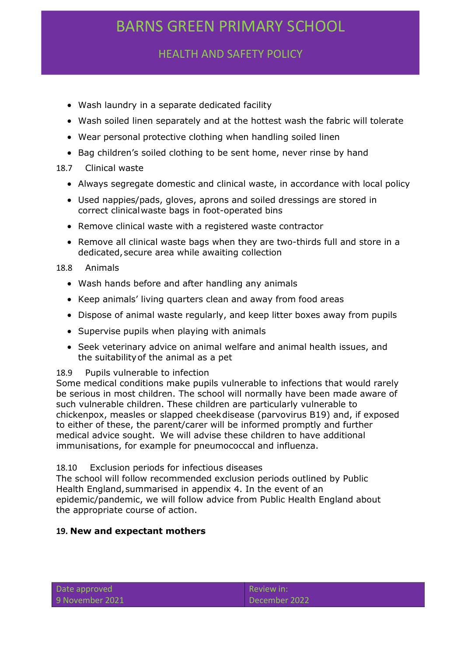HEALTH AND SAFETY POLICY

- Wash laundry in a separate dedicated facility
- Wash soiled linen separately and at the hottest wash the fabric will tolerate
- Wear personal protective clothing when handling soiled linen
- Bag children's soiled clothing to be sent home, never rinse by hand

### 18.7 Clinical waste

- Always segregate domestic and clinical waste, in accordance with local policy
- Used nappies/pads, gloves, aprons and soiled dressings are stored in correct clinicalwaste bags in foot-operated bins
- Remove clinical waste with a registered waste contractor
- Remove all clinical waste bags when they are two-thirds full and store in a dedicated, secure area while awaiting collection

### 18.8 Animals

- Wash hands before and after handling any animals
- Keep animals' living quarters clean and away from food areas
- Dispose of animal waste regularly, and keep litter boxes away from pupils
- Supervise pupils when playing with animals
- Seek veterinary advice on animal welfare and animal health issues, and the suitabilityof the animal as a pet

### 18.9 Pupils vulnerable to infection

Some medical conditions make pupils vulnerable to infections that would rarely be serious in most children. The school will normally have been made aware of such vulnerable children. These children are particularly vulnerable to chickenpox, measles or slapped cheekdisease (parvovirus B19) and, if exposed to either of these, the parent/carer will be informed promptly and further medical advice sought. We will advise these children to have additional immunisations, for example for pneumococcal and influenza.

#### 18.10 Exclusion periods for infectious diseases

The school will follow recommended exclusion periods outlined by Public Health England, summarised in appendix 4. In the event of an epidemic/pandemic, we will follow advice from Public Health England about the appropriate course of action.

### <span id="page-16-0"></span>**19. New and expectant mothers**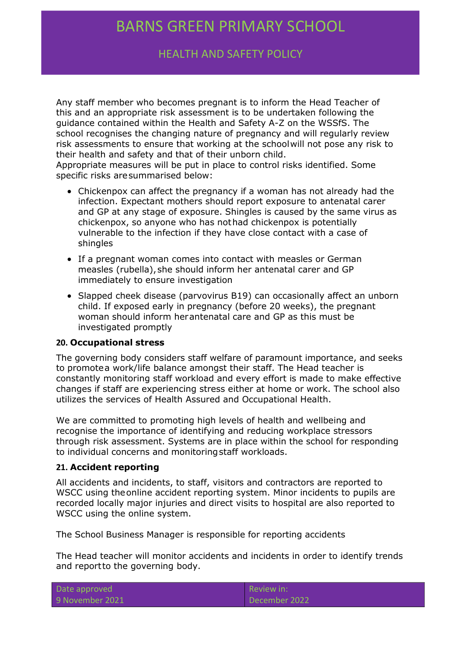HEALTH AND SAFETY POLICY

Any staff member who becomes pregnant is to inform the Head Teacher of this and an appropriate risk assessment is to be undertaken following the guidance contained within the Health and Safety A-Z on the WSSfS. The school recognises the changing nature of pregnancy and will regularly review risk assessments to ensure that working at the schoolwill not pose any risk to their health and safety and that of their unborn child.

Appropriate measures will be put in place to control risks identified. Some specific risks aresummarised below:

- Chickenpox can affect the pregnancy if a woman has not already had the infection. Expectant mothers should report exposure to antenatal carer and GP at any stage of exposure. Shingles is caused by the same virus as chickenpox, so anyone who has nothad chickenpox is potentially vulnerable to the infection if they have close contact with a case of shingles
- If a pregnant woman comes into contact with measles or German measles (rubella), she should inform her antenatal carer and GP immediately to ensure investigation
- Slapped cheek disease (parvovirus B19) can occasionally affect an unborn child. If exposed early in pregnancy (before 20 weeks), the pregnant woman should inform herantenatal care and GP as this must be investigated promptly

#### <span id="page-17-0"></span>**20. Occupational stress**

The governing body considers staff welfare of paramount importance, and seeks to promotea work/life balance amongst their staff. The Head teacher is constantly monitoring staff workload and every effort is made to make effective changes if staff are experiencing stress either at home or work. The school also utilizes the services of Health Assured and Occupational Health.

We are committed to promoting high levels of health and wellbeing and recognise the importance of identifying and reducing workplace stressors through risk assessment. Systems are in place within the school for responding to individual concerns and monitoringstaff workloads.

#### <span id="page-17-1"></span>**21. Accident reporting**

All accidents and incidents, to staff, visitors and contractors are reported to WSCC using theonline accident reporting system. Minor incidents to pupils are recorded locally major injuries and direct visits to hospital are also reported to WSCC using the online system.

The School Business Manager is responsible for reporting accidents

The Head teacher will monitor accidents and incidents in order to identify trends and reportto the governing body.

| Date approved   |
|-----------------|
| 9 November 2021 |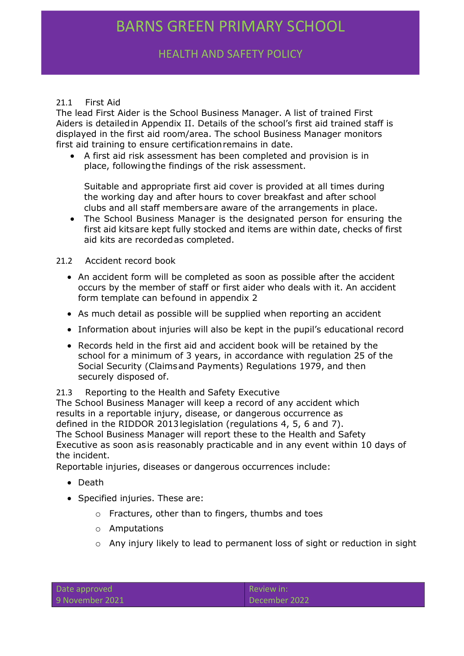# HEALTH AND SAFETY POLICY

### 21.1 First Aid

The lead First Aider is the School Business Manager. A list of trained First Aiders is detailedin Appendix II. Details of the school's first aid trained staff is displayed in the first aid room/area. The school Business Manager monitors first aid training to ensure certificationremains in date.

 A first aid risk assessment has been completed and provision is in place, followingthe findings of the risk assessment.

Suitable and appropriate first aid cover is provided at all times during the working day and after hours to cover breakfast and after school clubs and all staff membersare aware of the arrangements in place.

 The School Business Manager is the designated person for ensuring the first aid kitsare kept fully stocked and items are within date, checks of first aid kits are recordedas completed.

#### 21.2 Accident record book

- An accident form will be completed as soon as possible after the accident occurs by the member of staff or first aider who deals with it. An accident form template can befound in appendix 2
- As much detail as possible will be supplied when reporting an accident
- Information about injuries will also be kept in the pupil's educational record
- Records held in the first aid and accident book will be retained by the school for a minimum of 3 years, in accordance with regulation 25 of the Social Security (Claimsand Payments) Regulations 1979, and then securely disposed of.

#### 21.3 Reporting to the Health and Safety Executive

The School Business Manager will keep a record of any accident which results in a reportable injury, disease, or dangerous occurrence as defined in the RIDDOR 2013legislation (regulations 4, 5, 6 and 7). The School Business Manager will report these to the Health and Safety Executive as soon asis reasonably practicable and in any event within 10 days of the incident.

Reportable injuries, diseases or dangerous occurrences include:

- Death
- Specified injuries. These are:
	- o Fractures, other than to fingers, thumbs and toes
	- o Amputations
	- $\circ$  Any injury likely to lead to permanent loss of sight or reduction in sight

| Date approved   |  |
|-----------------|--|
| 9 November 2021 |  |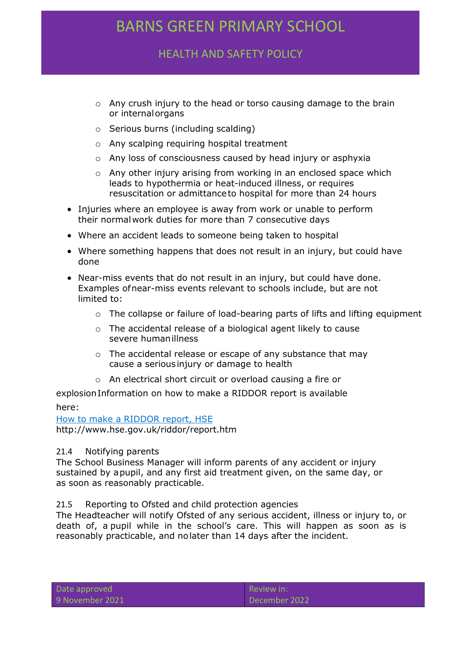HEALTH AND SAFETY POLICY

- o Any crush injury to the head or torso causing damage to the brain or internalorgans
- o Serious burns (including scalding)
- o Any scalping requiring hospital treatment
- o Any loss of consciousness caused by head injury or asphyxia
- o Any other injury arising from working in an enclosed space which leads to hypothermia or heat-induced illness, or requires resuscitation or admittanceto hospital for more than 24 hours
- Injuries where an employee is away from work or unable to perform their normalwork duties for more than 7 consecutive days
- Where an accident leads to someone being taken to hospital
- Where something happens that does not result in an injury, but could have done
- Near-miss events that do not result in an injury, but could have done. Examples ofnear-miss events relevant to schools include, but are not limited to:
	- $\circ$  The collapse or failure of load-bearing parts of lifts and lifting equipment
	- o The accidental release of a biological agent likely to cause severe humanillness
	- o The accidental release or escape of any substance that may cause a seriousinjury or damage to health
	- o An electrical short circuit or overload causing a fire or

explosionInformation on how to make a RIDDOR report is available here:

How to [make a RIDDOR report,](http://www.hse.gov.uk/riddor/report.htm) HSE <http://www.hse.gov.uk/riddor/report.htm>

#### 21.4 Notifying parents

The School Business Manager will inform parents of any accident or injury sustained by apupil, and any first aid treatment given, on the same day, or as soon as reasonably practicable.

#### 21.5 Reporting to Ofsted and child protection agencies

The Headteacher will notify Ofsted of any serious accident, illness or injury to, or death of, a pupil while in the school's care. This will happen as soon as is reasonably practicable, and nolater than 14 days after the incident.